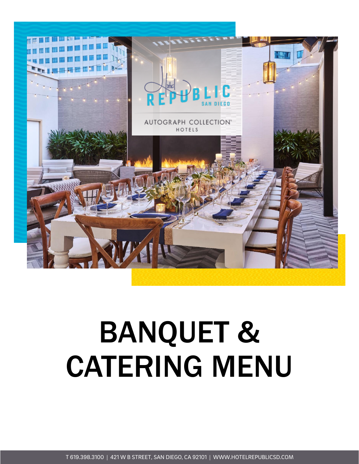

# BANQUET & CATERING MENU

T 619.398.3100 | 421 W B STREET, SAN DIEGO, CA 92101 | WWW.HOTELREPUBLICSD.COM